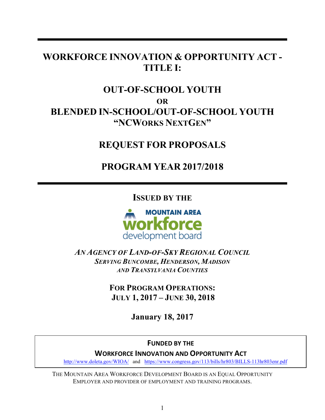# **WORKFORCE INNOVATION & OPPORTUNITY ACT - TITLE I:**

# **OUT-OF-SCHOOL YOUTH OR BLENDED IN-SCHOOL/OUT-OF-SCHOOL YOUTH "NCWORKS NEXTGEN"**

# **REQUEST FOR PROPOSALS**

# **PROGRAM YEAR 2017/2018**

**ISSUED BY THE**



*AN AGENCY OF LAND-OF-SKY REGIONAL COUNCIL SERVING BUNCOMBE, HENDERSON, MADISON AND TRANSYLVANIA COUNTIES*

> **FOR PROGRAM OPERATIONS: JULY 1, 2017 – JUNE 30, 2018**

> > **January 18, 2017**

# **FUNDED BY THE**

**WORKFORCE INNOVATION AND OPPORTUNITY ACT** 

http://www.doleta.gov/WIOA/ and https://www.congress.gov/113/bills/hr803/BILLS-113hr803enr.pdf

THE MOUNTAIN AREA WORKFORCE DEVELOPMENT BOARD IS AN EQUAL OPPORTUNITY EMPLOYER AND PROVIDER OF EMPLOYMENT AND TRAINING PROGRAMS.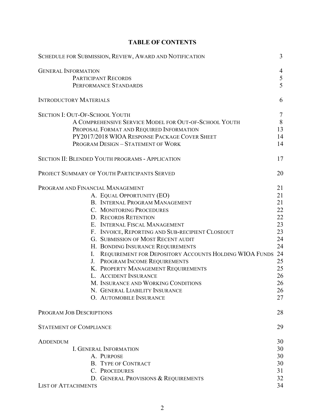| SCHEDULE FOR SUBMISSION, REVIEW, AWARD AND NOTIFICATION                                                                                                                                                                                                                                                                                                                                                                                                                                                                                                                                              | 3                                                                                            |
|------------------------------------------------------------------------------------------------------------------------------------------------------------------------------------------------------------------------------------------------------------------------------------------------------------------------------------------------------------------------------------------------------------------------------------------------------------------------------------------------------------------------------------------------------------------------------------------------------|----------------------------------------------------------------------------------------------|
| <b>GENERAL INFORMATION</b><br><b>PARTICIPANT RECORDS</b><br>PERFORMANCE STANDARDS                                                                                                                                                                                                                                                                                                                                                                                                                                                                                                                    | 4<br>5<br>5                                                                                  |
| <b>INTRODUCTORY MATERIALS</b>                                                                                                                                                                                                                                                                                                                                                                                                                                                                                                                                                                        | 6                                                                                            |
| <b>SECTION I: OUT-OF-SCHOOL YOUTH</b><br>A COMPREHENSIVE SERVICE MODEL FOR OUT-OF-SCHOOL YOUTH<br>PROPOSAL FORMAT AND REQUIRED INFORMATION<br>PY2017/2018 WIOA RESPONSE PACKAGE COVER SHEET<br>PROGRAM DESIGN - STATEMENT OF WORK                                                                                                                                                                                                                                                                                                                                                                    | $\overline{7}$<br>8<br>13<br>14<br>14                                                        |
| SECTION II: BLENDED YOUTH PROGRAMS - APPLICATION                                                                                                                                                                                                                                                                                                                                                                                                                                                                                                                                                     | 17                                                                                           |
| PROJECT SUMMARY OF YOUTH PARTICIPANTS SERVED                                                                                                                                                                                                                                                                                                                                                                                                                                                                                                                                                         | 20                                                                                           |
| PROGRAM AND FINANCIAL MANAGEMENT<br>A. EQUAL OPPORTUNITY (EO)<br>B. INTERNAL PROGRAM MANAGEMENT<br>C. MONITORING PROCEDURES<br><b>D. RECORDS RETENTION</b><br>E. INTERNAL FISCAL MANAGEMENT<br>F. INVOICE, REPORTING AND SUB-RECIPIENT CLOSEOUT<br><b>G. SUBMISSION OF MOST RECENT AUDIT</b><br>H. BONDING INSURANCE REQUIREMENTS<br>I. REQUIREMENT FOR DEPOSITORY ACCOUNTS HOLDING WIOA FUNDS<br>J. PROGRAM INCOME REQUIREMENTS<br>K. PROPERTY MANAGEMENT REQUIREMENTS<br>L. ACCIDENT INSURANCE<br>M. INSURANCE AND WORKING CONDITIONS<br>N. GENERAL LIABILITY INSURANCE<br>O. AUTOMOBILE INSURANCE | 21<br>21<br>21<br>22<br>22<br>23<br>23<br>24<br>24<br>24<br>25<br>25<br>26<br>26<br>26<br>27 |
| PROGRAM JOB DESCRIPTIONS                                                                                                                                                                                                                                                                                                                                                                                                                                                                                                                                                                             | 28                                                                                           |
| <b>STATEMENT OF COMPLIANCE</b>                                                                                                                                                                                                                                                                                                                                                                                                                                                                                                                                                                       | 29                                                                                           |
| <b>ADDENDUM</b><br>I. GENERAL INFORMATION<br>A. PURPOSE<br><b>B. TYPE OF CONTRACT</b><br>C. PROCEDURES<br>D. GENERAL PROVISIONS & REQUIREMENTS<br><b>LIST OF ATTACHMENTS</b>                                                                                                                                                                                                                                                                                                                                                                                                                         | 30<br>30<br>30<br>30<br>31<br>32<br>34                                                       |

# **TABLE OF CONTENTS**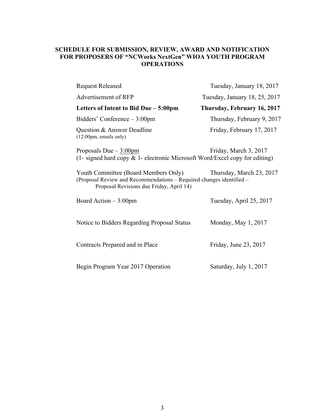# **SCHEDULE FOR SUBMISSION, REVIEW, AWARD AND NOTIFICATION FOR PROPOSERS OF "NCWorks NextGen" WIOA YOUTH PROGRAM OPERATIONS**

| <b>Request Released</b>                                                                                                                                  | Tuesday, January 18, 2017     |
|----------------------------------------------------------------------------------------------------------------------------------------------------------|-------------------------------|
| Advertisement of RFP                                                                                                                                     | Tuesday, January 18, 25, 2017 |
| Letters of Intent to Bid Due - 5:00pm                                                                                                                    | Thursday, February 16, 2017   |
| Bidders' Conference $-3:00$ pm                                                                                                                           | Thursday, February 9, 2017    |
| Question & Answer Deadline<br>$(12:00 \text{pm}, \text{emails only})$                                                                                    | Friday, February 17, 2017     |
| Proposals Due $-3:00$ pm<br>(1- signed hard copy $\&$ 1- electronic Microsoft Word/Excel copy for editing)                                               | Friday, March 3, 2017         |
| Youth Committee (Board Members Only)<br>(Proposal Review and Recommendations - Required changes identified -<br>Proposal Revisions due Friday, April 14) | Thursday, March 23, 2017      |
| Board Action $-3:00$ pm                                                                                                                                  | Tuesday, April 25, 2017       |
| Notice to Bidders Regarding Proposal Status                                                                                                              | Monday, May 1, 2017           |
| Contracts Prepared and in Place                                                                                                                          | Friday, June 23, 2017         |
| Begin Program Year 2017 Operation                                                                                                                        | Saturday, July 1, 2017        |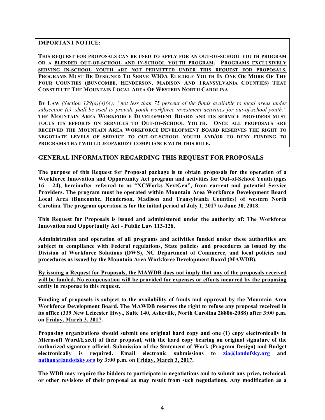**IMPORTANT NOTICE:**

**THIS REQUEST FOR PROPOSALS CAN BE USED TO APPLY FOR AN OUT-OF-SCHOOL YOUTH PROGRAM OR A BLENDED OUT-OF-SCHOOL AND IN-SCHOOL YOUTH PROGRAM. PROGRAMS EXCLUSIVELY SERVING IN-SCHOOL YOUTH ARE NOT PERMITTED UNDER THIS REQUEST FOR PROPOSALS. PROGRAMS MUST BE DESIGNED TO SERVE WIOA ELIGIBLE YOUTH IN ONE OR MORE OF THE FOUR COUNTIES (BUNCOMBE, HENDERSON, MADISON AND TRANSYLVANIA COUNTIES) THAT CONSTITUTE THE MOUNTAIN LOCAL AREA OF WESTERN NORTH CAROLINA**.

**BY LAW** *(Section 129(a)(4)(A)) "not less than 75 percent of the funds available to local areas under subsection (c), shall be used to provide youth workforce investment activities for out-of-school youth."* **THE MOUNTAIN AREA WORKFORCE DEVELOPMENT BOARD AND ITS SERVICE PROVIDERS MUST FOCUS ITS EFFORTS ON SERVICES TO OUT-OF-SCHOOL YOUTH. ONCE ALL PROPOSALS ARE RECEIVED THE MOUNTAIN AREA WORKFORCE DEVELOPMENT BOARD RESERVES THE RIGHT TO NEGOTIATE LEVELS OF SERVICE TO OUT-OF-SCHOOL YOUTH AND/OR TO DENY FUNDING TO PROGRAMS THAT WOULD JEOPARDIZE COMPLIANCE WITH THIS RULE.** 

# **GENERAL INFORMATION REGARDING THIS REQUEST FOR PROPOSALS**

**The purpose of this Request for Proposal package is to obtain proposals for the operation of a Workforce Innovation and Opportunity Act program and activities for Out-of-School Youth (ages 16 – 24), hereinafter referred to as "NCWorks NextGen", from current and potential Service Providers. The program must be operated within Mountain Area Workforce Development Board Local Area (Buncombe, Henderson, Madison and Transylvania Counties) of western North Carolina. The program operation is for the initial period of July 1, 2017 to June 30, 2018.**

**This Request for Proposals is issued and administered under the authority of: The Workforce Innovation and Opportunity Act - Public Law 113-128.** 

**Administration and operation of all programs and activities funded under these authorities are subject to compliance with Federal regulations, State policies and procedures as issued by the Division of Workforce Solutions (DWS), NC Department of Commerce, and local policies and procedures as issued by the Mountain Area Workforce Development Board (MAWDB).**

**By issuing a Request for Proposals, the MAWDB does not imply that any of the proposals received will be funded. No compensation will be provided for expenses or efforts incurred by the proposing entity in response to this request.**

**Funding of proposals is subject to the availability of funds and approval by the Mountain Area Workforce Development Board. The MAWDB reserves the right to refuse any proposal received in its office (339 New Leicester Hwy., Suite 140, Asheville, North Carolina 28806-2088) after 3:00 p.m. on Friday, March 3, 2017.**

**Proposing organizations should submit one original hard copy and one (1) copy electronically in Microsoft Word/Excel) of their proposal, with the hard copy bearing an original signature of the authorized signatory official. Submission of the Statement of Work (Program Design) and Budget electronically is required. Email electronic submissions to zia@landofsky.org and nathan@landofsky.org by 3:00 p.m. on Friday, March 3, 2017.**

**The WDB may require the bidders to participate in negotiations and to submit any price, technical, or other revisions of their proposal as may result from such negotiations. Any modification as a**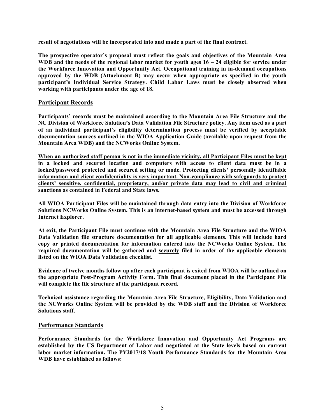**result of negotiations will be incorporated into and made a part of the final contract.**

**The prospective operator's proposal must reflect the goals and objectives of the Mountain Area WDB and the needs of the regional labor market for youth ages 16 – 24 eligible for service under the Workforce Innovation and Opportunity Act. Occupational training in in-demand occupations approved by the WDB (Attachment B) may occur when appropriate as specified in the youth participant's Individual Service Strategy. Child Labor Laws must be closely observed when working with participants under the age of 18.**

## **Participant Records**

**Participants' records must be maintained according to the Mountain Area File Structure and the NC Division of Workforce Solution's Data Validation File Structure policy. Any item used as a part of an individual participant's eligibility determination process must be verified by acceptable documentation sources outlined in the WIOA Application Guide (available upon request from the Mountain Area WDB) and the NCWorks Online System.**

**When an authorized staff person is not in the immediate vicinity, all Participant Files must be kept in a locked and secured location and computers with access to client data must be in a locked/password protected and secured setting or mode. Protecting clients' personally identifiable information and client confidentiality is very important. Non-compliance with safeguards to protect clients' sensitive, confidential, proprietary, and/or private data may lead to civil and criminal sanctions as contained in Federal and State laws.**

**All WIOA Participant Files will be maintained through data entry into the Division of Workforce Solutions NCWorks Online System. This is an internet-based system and must be accessed through Internet Explorer.**

**At exit, the Participant File must continue with the Mountain Area File Structure and the WIOA Data Validation file structure documentation for all applicable elements. This will include hard copy or printed documentation for information entered into the NCWorks Online System. The required documentation will be gathered and securely filed in order of the applicable elements listed on the WIOA Data Validation checklist.**

**Evidence of twelve months follow up after each participant is exited from WIOA will be outlined on the appropriate Post-Program Activity Form. This final document placed in the Participant File will complete the file structure of the participant record.**

**Technical assistance regarding the Mountain Area File Structure, Eligibility, Data Validation and the NCWorks Online System will be provided by the WDB staff and the Division of Workforce Solutions staff.**

#### **Performance Standards**

**Performance Standards for the Workforce Innovation and Opportunity Act Programs are established by the US Department of Labor and negotiated at the State levels based on current labor market information. The PY2017/18 Youth Performance Standards for the Mountain Area WDB have established as follows:**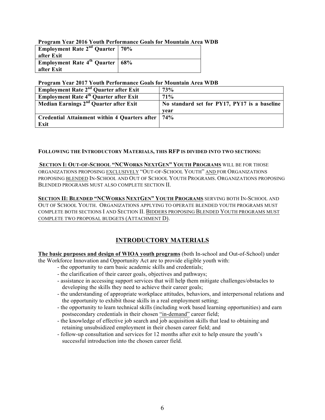## **Program Year 2016 Youth Performance Goals for Mountain Area WDB**

| <b>Employment Rate 2<sup>nd</sup> Quarter</b>   $70\%$ |  |
|--------------------------------------------------------|--|
| after Exit                                             |  |
| <b>Employment Rate 4<sup>th</sup> Quarter</b> 68%      |  |
| after Exit                                             |  |

#### **Program Year 2017 Youth Performance Goals for Mountain Area WDB**

| Employment Rate 2 <sup>nd</sup> Quarter after Exit                              | <b>73%</b>                                   |
|---------------------------------------------------------------------------------|----------------------------------------------|
| <b>Employment Rate <math>\overline{4}^{\text{th}}</math> Quarter after Exit</b> | $71\%$                                       |
| Median Earnings 2 <sup>nd</sup> Quarter after Exit                              | No standard set for PY17, PY17 is a baseline |
|                                                                                 | vear                                         |
| Credential Attainment within 4 Quarters after                                   | 74%                                          |
| Exit                                                                            |                                              |

#### **FOLLOWING THE INTRODUCTORY MATERIALS, THIS RFP IS DIVIDED INTO TWO SECTIONS:**

**SECTION I: OUT-OF-SCHOOL "NCWORKS NEXTGEN" YOUTH PROGRAMS** WILL BE FOR THOSE ORGANIZATIONS PROPOSING EXCLUSIVELY "OUT-OF-SCHOOL YOUTH" AND FOR ORGANIZATIONS PROPOSING BLENDED IN-SCHOOL AND OUT OF SCHOOL YOUTH PROGRAMS. ORGANIZATIONS PROPOSING BLENDED PROGRAMS MUST ALSO COMPLETE SECTION II.

**SECTION II: BLENDED "NCWORKS NEXTGEN" YOUTH PROGRAMS** SERVING BOTH IN-SCHOOL AND OUT OF SCHOOL YOUTH. ORGANIZATIONS APPLYING TO OPERATE BLENDED YOUTH PROGRAMS MUST COMPLETE BOTH SECTIONS I AND SECTION II. BIDDERS PROPOSING BLENDED YOUTH PROGRAMS MUST COMPLETE TWO PROPOSAL BUDGETS (ATTACHMENT D).

# **INTRODUCTORY MATERIALS**

**The basic purposes and design of WIOA youth programs** (both In-school and Out-of-School) under the Workforce Innovation and Opportunity Act are to provide eligible youth with:

- the opportunity to earn basic academic skills and credentials;
- the clarification of their career goals, objectives and pathways;
- assistance in accessing support services that will help them mitigate challenges/obstacles to developing the skills they need to achieve their career goals;
- the understanding of appropriate workplace attitudes, behaviors, and interpersonal relations and the opportunity to exhibit those skills in a real employment setting;
- the opportunity to learn technical skills (including work based learning opportunities) and earn postsecondary credentials in their chosen "in-demand" career field;
- the knowledge of effective job search and job acquisition skills that lead to obtaining and retaining unsubsidized employment in their chosen career field; and
- follow-up consultation and services for 12 months after exit to help ensure the youth's successful introduction into the chosen career field.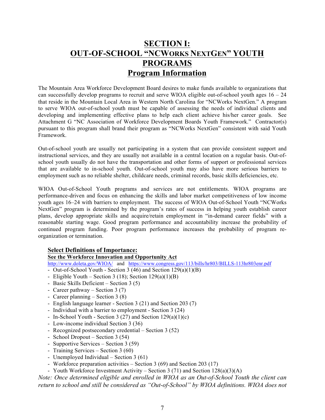# **SECTION I: OUT-OF-SCHOOL "NCWORKS NEXTGEN" YOUTH PROGRAMS Program Information**

The Mountain Area Workforce Development Board desires to make funds available to organizations that can successfully develop programs to recruit and serve WIOA eligible out-of-school youth ages  $16 - 24$ that reside in the Mountain Local Area in Western North Carolina for "NCWorks NextGen." A program to serve WIOA out-of-school youth must be capable of assessing the needs of individual clients and developing and implementing effective plans to help each client achieve his/her career goals. See Attachment G "NC Association of Workforce Development Boards Youth Framework." Contractor(s) pursuant to this program shall brand their program as "NCWorks NextGen" consistent with said Youth Framework.

Out-of-school youth are usually not participating in a system that can provide consistent support and instructional services, and they are usually not available in a central location on a regular basis. Out-ofschool youth usually do not have the transportation and other forms of support or professional services that are available to in-school youth. Out-of-school youth may also have more serious barriers to employment such as no reliable shelter, childcare needs, criminal records, basic skills deficiencies, etc.

WIOA Out-of-School Youth programs and services are not entitlements. WIOA programs are performance-driven and focus on enhancing the skills and labor market competitiveness of low income youth ages 16–24 with barriers to employment. The success of WIOA Out-of-School Youth "NCWorks NextGen" program is determined by the program's rates of success in helping youth establish career plans, develop appropriate skills and acquire/retain employment in "in-demand career fields" with a reasonable starting wage. Good program performance and accountability increase the probability of continued program funding. Poor program performance increases the probability of program reorganization or termination.

# **Select Definitions of Importance:**

### **See the Workforce Innovation and Opportunity Act**

http://www.doleta.gov/WIOA/ and https://www.congress.gov/113/bills/hr803/BILLS-113hr803enr.pdf

- Out-of-School Youth Section 3 (46) and Section 129(a)(1)(B)
- Eligible Youth Section 3 (18); Section  $129(a)(1)(B)$
- Basic Skills Deficient Section 3 (5)
- Career pathway Section 3 (7)
- Career planning Section 3 (8)
- English language learner Section 3 (21) and Section 203 (7)
- Individual with a barrier to employment Section 3 (24)
- In-School Youth Section 3 (27) and Section 129(a)(1)(c)
- Low-income individual Section 3 (36)
- Recognized postsecondary credential Section 3 (52)
- School Dropout Section 3 (54)
- Supportive Services Section 3 (59)
- Training Services Section 3 (60)
- Unemployed Individual Section 3 (61)
- Workforce preparation activities Section 3 (69) and Section 203 (17)
- Youth Workforce Investment Activity Section 3 (71) and Section 128(a)(3)(A)

*Note: Once determined eligible and enrolled in WIOA as an Out-of-School Youth the client can return to school and still be considered as "Out-of-School" by WIOA definitions. WIOA does not*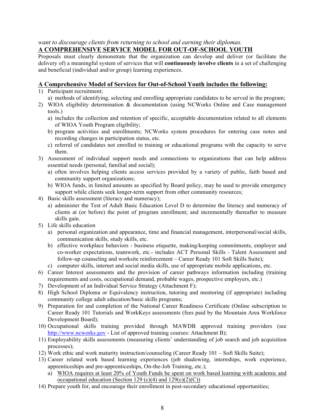# *want to discourage clients from returning to school and earning their diplomas.*

# **A COMPREHENSIVE SERVICE MODEL FOR OUT-OF-SCHOOL YOUTH**

Proposals must clearly demonstrate that the organization can develop and deliver (or facilitate the delivery of) a meaningful system of services that will **continuously involve clients** in a set of challenging and beneficial (individual and/or group) learning experiences.

# **A Comprehensive Model of Services for Out-of-School Youth includes the following:**

- 1) Participant recruitment;
	- a) methods of identifying, selecting and enrolling appropriate candidates to be served in the program;
- 2) WIOA eligibility determination & documentation (using NCWorks Online and Case management tools.)
	- a) includes the collection and retention of specific, acceptable documentation related to all elements of WIOA Youth Program eligibility;
	- b) program activities and enrollments; NCWorks system procedures for entering case notes and recording changes in participation status, etc.
	- c) referral of candidates not enrolled to training or educational programs with the capacity to serve them.
- 3) Assessment of individual support needs and connections to organizations that can help address essential needs (personal, familial and social);
	- a) often involves helping clients access services provided by a variety of public, faith based and community support organizations;
	- b) WIOA funds, in limited amounts as specified by Board policy, may be used to provide emergency support while clients seek longer-term support from other community resources;
- 4) Basic skills assessment (literacy and numeracy);
	- a) administer the Test of Adult Basic Education Level D to determine the literacy and numeracy of clients at (or before) the point of program enrollment; and incrementally thereafter to measure skills gain.
- 5) Life skills education
	- a) personal organization and appearance, time and financial management, interpersonal/social skills, communication skills, study skills, etc.
	- b) effective workplace behaviors business etiquette, making/keeping commitments, employer and co-worker expectations, teamwork, etc.- includes ACT Personal Skills - Talent Assessment and follow-up counseling and worksite reinforcement – Career Ready 101 Soft Skills Suite);
	- c) computer skills, internet and social media skills, use of appropriate mobile applications, etc.
- 6) Career Interest assessments and the provision of career pathways information including (training requirements and costs, occupational demand, probable wages, prospective employers, etc.)
- 7) Development of an Individual Service Strategy (Attachment F);
- 8) High School Diploma or Equivalency instruction, tutoring and mentoring (if appropriate) including community college adult education/basic skills programs;
- 9) Preparation for and completion of the National Career Readiness Certificate (Online subscription to Career Ready 101 Tutorials and WorkKeys assessments (fees paid by the Mountain Area Workforce Development Board);
- 10) Occupational skills training provided through MAWDB approved training providers (see http://www.ncworks.gov - List of approved training courses: Attachment B);
- 11) Employability skills assessments (measuring clients' understanding of job search and job acquisition processes);
- 12) Work ethic and work maturity instruction/counseling (Career Ready 101 Soft Skills Suite);
- 13) Career related work based learning experiences (job shadowing, internships, work experience, apprenticeships and pre-apprenticeships, On-the-Job Training, etc.);
	- a) WIOA requires at least 20% of Youth Funds be spent on work based learning with academic and occupational education (Section 129 (c)(4) and  $129(c)(2)(C)$ )
- 14) Prepare youth for, and encourage their enrollment in post-secondary educational opportunities;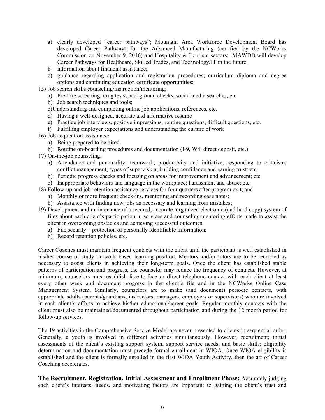- a) clearly developed "career pathways"; Mountain Area Workforce Development Board has developed Career Pathways for the Advanced Manufacturing (certified by the NCWorks Commission on November 9, 2016) and Hospitality & Tourism sectors; MAWDB will develop Career Pathways for Healthcare, Skilled Trades, and Technology/IT in the future.
- b) information about financial assistance;
- c) guidance regarding application and registration procedures; curriculum diploma and degree options and continuing education certificate opportunities;
- 15) Job search skills counseling/instruction/mentoring;
	- a) Pre-hire screening, drug tests, background checks, social media searches, etc.
	- b) Job search techniques and tools;
	- c)Understanding and completing online job applications, references, etc.
	- d) Having a well-designed, accurate and informative resume
	- e) Practice job interviews, positive impressions, routine questions, difficult questions, etc.
	- f) Fulfilling employer expectations and understanding the culture of work
- 16) Job acquisition assistance;
	- a) Being prepared to be hired
	- b) Routine on-boarding procedures and documentation (I-9, W4, direct deposit, etc.)
- 17) On-the-job counseling;
	- a) Attendance and punctuality; teamwork; productivity and initiative; responding to criticism; conflict management; types of supervision; building confidence and earning trust; etc.
	- b) Periodic progress checks and focusing on areas for improvement and advancement; etc.
	- c) Inappropriate behaviors and language in the workplace; harassment and abuse; etc.
- 18) Follow-up and job retention assistance services for four quarters after program exit; and
	- a) Monthly or more frequent check-ins, mentoring and recording case notes;
	- b) Assistance with finding new jobs as necessary and learning from mistakes;
- 19) Development and maintenance of a secured, accurate, organized electronic (and hard copy) system of files about each client's participation in services and counseling/mentoring efforts made to assist the client in overcoming obstacles and achieving successful outcomes.
	- a) File security protection of personally identifiable information;
	- b) Record retention policies, etc.

Career Coaches must maintain frequent contacts with the client until the participant is well established in his/her course of study or work based learning position. Mentors and/or tutors are to be recruited as necessary to assist clients in achieving their long-term goals. Once the client has established stable patterns of participation and progress, the counselor may reduce the frequency of contacts. However, at minimum, counselors must establish face-to-face or direct telephone contact with each client at least every other week and document progress in the client's file and in the NCWorks Online Case Management System. Similarly, counselors are to make (and document) periodic contacts, with appropriate adults (parents/guardians, instructors, managers, employers or supervisors) who are involved in each client's efforts to achieve his/her educational/career goals. Regular monthly contacts with the client must also be maintained/documented throughout participation and during the 12 month period for follow-up services.

The 19 activities in the Comprehensive Service Model are never presented to clients in sequential order. Generally, a youth is involved in different activities simultaneously. However, recruitment; initial assessments of the client's existing support system, support service needs, and basic skills; eligibility determination and documentation must precede formal enrollment in WIOA. Once WIOA eligibility is established and the client is formally enrolled in the first WIOA Youth Activity, then the art of Career Coaching accelerates.

**The Recruitment, Registration, Initial Assessment and Enrollment Phase:** Accurately judging each client's interests, needs, and motivating factors are important to gaining the client's trust and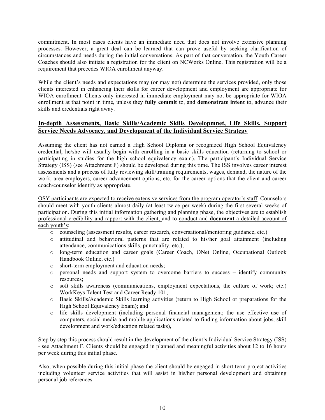commitment. In most cases clients have an immediate need that does not involve extensive planning processes. However, a great deal can be learned that can prove useful by seeking clarification of circumstances and needs during the initial conversations. As part of that conversation, the Youth Career Coaches should also initiate a registration for the client on NCWorks Online. This registration will be a requirement that precedes WIOA enrollment anyway.

While the client's needs and expectations may (or may not) determine the services provided, only those clients interested in enhancing their skills for career development and employment are appropriate for WIOA enrollment. Clients only interested in immediate employment may not be appropriate for WIOA enrollment at that point in time, unless they **fully commit** to, and **demonstrate intent** to, advance their skills and credentials right away.

# **In-depth Assessments, Basic Skills/Academic Skills Developmnet, Life Skills, Support Service Needs Advocacy, and Development of the Individual Service Strategy**

Assuming the client has not earned a High School Diploma or recognized High School Equivalency credential, he/she will usually begin with enrolling in a basic skills education (returning to school or participating in studies for the high school equivalency exam). The participant's Individual Service Strategy (ISS) (see Attachment F) should be developed during this time. The ISS involves career interest assessments and a process of fully reviewing skill/training requirements, wages, demand, the nature of the work, area employers, career advancement options, etc. for the career options that the client and career coach/counselor identify as appropriate.

OSY participants are expected to receive extensive services from the program operator's staff. Counselors should meet with youth clients almost daily (at least twice per week) during the first several weeks of participation. During this initial information gathering and planning phase, the objectives are to establish professional credibility and rapport with the client, and to conduct and **document** a detailed account of each youth's:

- o counseling (assessment results, career research, conversational/mentoring guidance, etc.)
- o attitudinal and behavioral patterns that are related to his/her goal attainment (including attendance, communications skills, punctuality, etc.);
- o long-term education and career goals (Career Coach, ONet Online, Occupational Outlook Handbook Online, etc.)
- o short-term employment and education needs;
- o personal needs and support system to overcome barriers to success identify community resources;
- o soft skills awareness (communications, employment expectations, the culture of work; etc.) WorkKeys Talent Test and Career Ready 101;
- o Basic Skills/Academic Skills learning activities (return to High School or preparations for the High School Equivalency Exam); and
- o life skills development (including personal financial management; the use effective use of computers, social media and mobile applications related to finding information about jobs, skill development and work/education related tasks),

Step by step this process should result in the development of the client's Individual Service Strategy (ISS) - see Attachment F. Clients should be engaged in planned and meaningful activities about 12 to 16 hours per week during this initial phase.

Also, when possible during this initial phase the client should be engaged in short term project activities including volunteer service activities that will assist in his/her personal development and obtaining personal job references.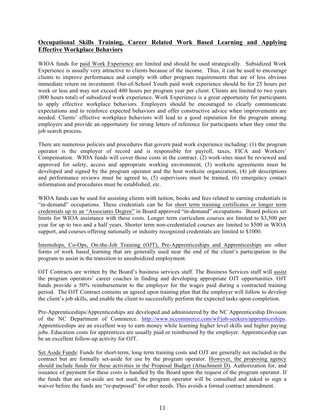# **Occupational Skills Training, Career Related Work Based Learning and Applying Effective Workplace Behaviors**

WIOA funds for paid Work Experience are limited and should be used strategically. Subsidized Work Experience is usually very attractive to clients because of the income. Thus, it can be used to encourage clients to improve performance and comply with other program requirements that are of less obvious immediate return on investment. Out-of-School Youth paid work experience should be for 25 hours per week or less and may not exceed 400 hours per program year per client. Clients are limited to two years (800 hours total) of subsidized work experience. Work Experience is a great opportunity for participants to apply effective workplace behaviors. Employers should be encouraged to clearly communicate expectations and to reinforce expected behaviors and offer constructive advice when improvements are needed. Clients' effective workplace behaviors will lead to a good reputation for the program among employers and provide an opportunity for strong letters of reference for participants when they enter the job search process.

There are numerous policies and procedures that govern paid work experience including: (1) the program operator is the employer of record and is responsible for payroll, taxes, FICA and Workers' Compensation. WIOA funds will cover those costs in the contract. (2) work-sites must be reviewed and approved for safety, access and appropriate working environment, (3) worksite agreements must be developed and signed by the program operator and the host worksite organization, (4) job descriptions and performance reviews must be agreed to, (5) supervisors must be trained, (6) emergency contact information and procedures must be established, etc.

WIOA funds can be used for assisting clients with tuition, books and fees related to earning credentials in "in-demand" occupations. These credentials can be for short term training certificates or longer term credentials up to an "Associates Degree" in Board approved "in-demand" occupations. Board polices set limits for WIOA assistance with these costs. Longer term curriculum courses are limited to \$3,500 per year for up to two and a half years. Shorter term non-credentialed courses are limited to \$500 in WIOA support, and courses offering nationally or industry recognized credentials are limited to \$1000.

Internships, Co-Ops, On-the-Job Training (OJT), Pre-Apprenticeships and Apprenticeships are other forms of work based learning that are generally used near the end of the client's participation in the program to assist in the transition to unsubsidized employment.

OJT Contracts are written by the Board's business services staff. The Business Services staff will assist the program operators' career coaches in finding and developing appropriate OJT opportunities. OJT funds provide a 50% reimbursement to the employer for the wages paid during a contracted training period. The OJT Contract contains an agreed upon training plan that the employer will follow to develop the client's job skills, and enable the client to successfully perform the expected tasks upon completion.

Pre-Apprenticeships/Apprenticeships are developed and administered by the NC Apprenticeship Division of the NC Department of Commerce. http://www.nccommerce.com/wf/job-seekers/apprenticeships. Apprenticeships are an excellent way to earn money while learning higher level skills and higher paying jobs. Education costs for apprentices are usually paid or reimbursed by the employer. Apprenticeship can be an excellent follow-up activity for OJT.

Set Aside Funds: Funds for short-term, long term training costs and OJT are generally not included in the contract but are formally set-aside for use by the program operator. However, the proposing agency should include funds for these activities in the Proposal Budget (Attachment D). Authorization for, and issuance of payment for these costs is handled by the Board upon the request of the program operator. If the funds that are set-aside are not used, the program operator will be consulted and asked to sign a waiver before the funds are "re-purposed" for other needs. This avoids a formal contract amendment.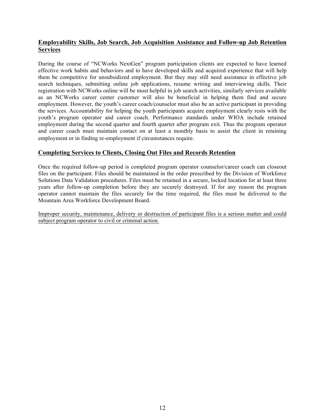# **Employability Skills, Job Search, Job Acquisition Assistance and Follow-up Job Retention Services**

During the course of "NCWorks NextGen" program participation clients are expected to have learned effective work habits and behaviors and to have developed skills and acquired experience that will help them be competitive for unsubsidized employment. But they may still need assistance in effective job search techniques, submitting online job applications, resume writing and interviewing skills. Their registration with NCWorks online will be most helpful in job search activities, similarly services available as an NCWorks career center customer will also be beneficial in helping them find and secure employment. However, the youth's career coach/counselor must also be an active participant in providing the services. Accountability for helping the youth participants acquire employment clearly rests with the youth's program operator and career coach. Performance standards under WIOA include retained employment during the second quarter and fourth quarter after program exit. Thus the program operator and career coach must maintain contact on at least a monthly basis to assist the client in retaining employment or in finding re-employment if circumstances require.

# **Completing Services to Clients, Closing Out Files and Records Retention**

Once the required follow-up period is completed program operator counselor/career coach can closeout files on the participant. Files should be maintained in the order prescribed by the Division of Workforce Solutions Data Validation procedures. Files must be retained in a secure, locked location for at least three years after follow-up completion before they are securely destroyed. If for any reason the program operator cannot maintain the files securely for the time required, the files must be delivered to the Mountain Area Workforce Development Board.

Improper security, maintenance, delivery or destruction of participant files is a serious matter and could subject program operator to civil or criminal action.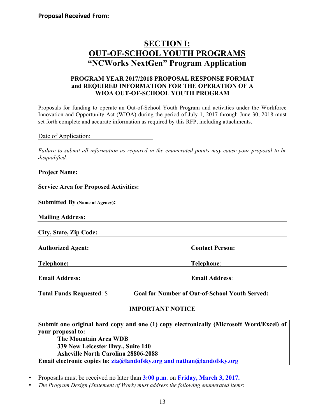# **SECTION I: OUT-OF-SCHOOL YOUTH PROGRAMS "NCWorks NextGen" Program Application**

# **PROGRAM YEAR 2017/2018 PROPOSAL RESPONSE FORMAT and REQUIRED INFORMATION FOR THE OPERATION OF A WIOA OUT-OF-SCHOOL YOUTH PROGRAM**

Proposals for funding to operate an Out-of-School Youth Program and activities under the Workforce Innovation and Opportunity Act (WIOA) during the period of July 1, 2017 through June 30, 2018 must set forth complete and accurate information as required by this RFP, including attachments.

Date of Application:

*Failure to submit all information as required in the enumerated points may cause your proposal to be disqualified.*

## **Project Name:**

**Service Area for Proposed Activities:** 

**Submitted By (Name of Agency):**

**Mailing Address:**

**City, State, Zip Code:**

**Authorized Agent: Contact Person:**

**Telephone: Telephone**:

**Email Address: Email Address**:

**Total Funds Requested**: \$ **Goal for Number of Out-of-School Youth Served:**

# **IMPORTANT NOTICE**

**Submit one original hard copy and one (1) copy electronically (Microsoft Word/Excel) of your proposal to: The Mountain Area WDB 339 New Leicester Hwy., Suite 140 Asheville North Carolina 28806-2088 Email electronic copies to: zia@landofsky.org and nathan@landofsky.org**

- Proposals must be received no later than **3:00 p.m**. on **Friday, March 3, 2017.**
- *The Program Design (Statement of Work) must address the following enumerated items*: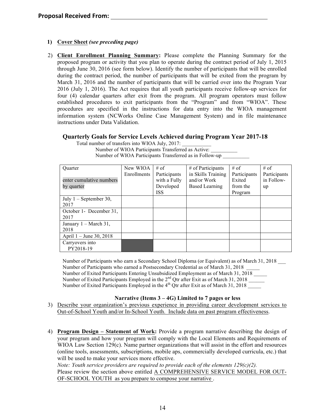## **1) Cover Sheet** *(see preceding page)*

2) **Client Enrollment Planning Summary:** Please complete the Planning Summary for the proposed program or activity that you plan to operate during the contract period of July 1, 2015 through June 30, 2016 (see form below). Identify the number of participants that will be enrolled during the contract period, the number of participants that will be exited from the program by March 31, 2016 and the number of participants that will be carried over into the Program Year 2016 (July 1, 2016). The Act requires that all youth participants receive follow-up services for four (4) calendar quarters after exit from the program. All program operators must follow established procedures to exit participants from the "Program" and from "WIOA". These procedures are specified in the instructions for data entry into the WIOA management information system (NCWorks Online Case Management System) and in file maintenance instructions under Data Validation.

## **Quarterly Goals for Service Levels Achieved during Program Year 2017-18**

| <b>Ouarter</b>                   | New WIOA    | $#$ of       | $\#$ of Participants  | $#$ of       | # of         |
|----------------------------------|-------------|--------------|-----------------------|--------------|--------------|
|                                  | Enrollments | Participants | in Skills Training    | Participants | Participants |
| enter cumulative numbers         |             | with a Fully | and/or Work           | Exited       | in Follow-   |
| by quarter                       |             | Developed    | <b>Based Learning</b> | from the     | up           |
|                                  |             | <b>ISS</b>   |                       | Program      |              |
| July $1$ – September 30,         |             |              |                       |              |              |
| 2017                             |             |              |                       |              |              |
| October 1- December 31,          |             |              |                       |              |              |
| 2017                             |             |              |                       |              |              |
| January $1 - \text{March } 31$ , |             |              |                       |              |              |
| 2018                             |             |              |                       |              |              |
| April 1 – June 30, 2018          |             |              |                       |              |              |
| Carryovers into                  |             |              |                       |              |              |
| PY2018-19                        |             |              |                       |              |              |

Total number of transfers into WIOA July, 2017: Number of WIOA Participants Transferred as Active: Number of WIOA Participants Transferred as in Follow-up \_\_\_\_\_\_\_\_\_\_\_\_\_\_\_\_\_\_\_\_\_\_\_\_

Number of Participants who earn a Secondary School Diploma (or Equivalent) as of March 31, 2018 \_\_\_ Number of Participants who earned a Postsecondary Credential as of March 31, 2018 \_\_\_\_\_ Number of Exited Participants Entering Unsubsidized Employment as of March 31, 2018 \_\_\_\_\_ Number of Exited Participants Employed in the  $2<sup>nd</sup>$  Qtr after Exit as of March 31, 2018 Number of Exited Participants Employed in the  $4<sup>th</sup>$  Qtr after Exit as of March 31, 2018

#### **Narrative (Items 3 – 4G) Limited to 7 pages or less**

- 3) Describe your organization's previous experience in providing career development services to Out-of-School Youth and/or In-School Youth. Include data on past program effectiveness.
- 4) **Program Design – Statement of Work:** Provide a program narrative describing the design of your program and how your program will comply with the Local Elements and Requirements of WIOA Law Section 129(c). Name partner organizations that will assist in the effort and resources (online tools, assessments, subscriptions, mobile aps, commercially developed curricula, etc.) that will be used to make your services more effective.

*Note: Youth service providers are required to provide each of the elements 129(c)(2).* Please review the section above entitled A COMPREHENSIVE SERVICE MODEL FOR OUT-OF-SCHOOL YOUTH as you prepare to compose your narrative .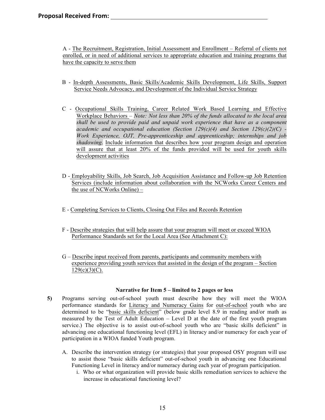A - The Recruitment, Registration, Initial Assessment and Enrollment – Referral of clients not enrolled, or in need of additional services to appropriate education and training programs that have the capacity to serve them

- B In-depth Assessments, Basic Skills/Academic Skills Development, Life Skills, Support Service Needs Advocacy, and Development of the Individual Service Strategy
- C Occupational Skills Training, Career Related Work Based Learning and Effective Workplace Behaviors – *Note: Not less than 20% of the funds allocated to the local area shall be used to provide paid and unpaid work experience that have as a component academic and occupational education (Section 129(c)(4) and Section 129(c)(2)(C) - Work Experience, OJT, Pre-apprenticeship and apprenticeship; internships and job shadowing.* Include information that describes how your program design and operation will assure that at least 20% of the funds provided will be used for youth skills development activities
- D Employability Skills, Job Search, Job Acquisition Assistance and Follow-up Job Retention Services (include information about collaboration with the NCWorks Career Centers and the use of NCWorks Online) –
- E Completing Services to Clients, Closing Out Files and Records Retention
- F Describe strategies that will help assure that your program will meet or exceed WIOA Performance Standards set for the Local Area (See Attachment C):
- G Describe input received from parents, participants and community members with experience providing youth services that assisted in the design of the program – Section  $129(c)(3)(C)$ .

# **Narrative for Item 5 – limited to 2 pages or less**

- **5)** Programs serving out-of-school youth must describe how they will meet the WIOA performance standards for Literacy and Numeracy Gains for out-of-school youth who are determined to be "basic skills deficient" (below grade level 8.9 in reading and/or math as measured by the Test of Adult Education – Level D at the date of the first youth program service.) The objective is to assist out-of-school youth who are "basic skills deficient" in advancing one educational functioning level (EFL) in literacy and/or numeracy for each year of participation in a WIOA funded Youth program.
	- A. Describe the intervention strategy (or strategies) that your proposed OSY program will use to assist those "basic skills deficient" out-of-school youth in advancing one Educational Functioning Level in literacy and/or numeracy during each year of program participation.
		- i. Who or what organization will provide basic skills remediation services to achieve the increase in educational functioning level?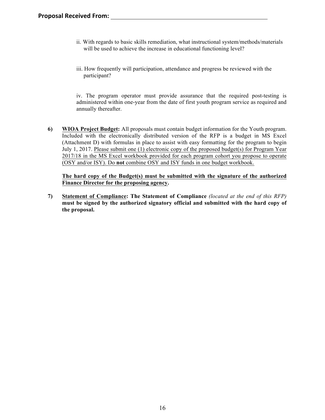- ii. With regards to basic skills remediation, what instructional system/methods/materials will be used to achieve the increase in educational functioning level?
- iii. How frequently will participation, attendance and progress be reviewed with the participant?

iv. The program operator must provide assurance that the required post-testing is administered within one-year from the date of first youth program service as required and annually thereafter.

**6) WIOA Project Budget:** All proposals must contain budget information for the Youth program. Included with the electronically distributed version of the RFP is a budget in MS Excel (Attachment D) with formulas in place to assist with easy formatting for the program to begin July 1, 2017. Please submit one (1) electronic copy of the proposed budget(s) for Program Year 2017/18 in the MS Excel workbook provided for each program cohort you propose to operate (OSY and/or ISY). Do **not** combine OSY and ISY funds in one budget workbook.

**The hard copy of the Budget(s) must be submitted with the signature of the authorized Finance Director for the proposing agency.**

**7) Statement of Compliance: The Statement of Compliance** *(located at the end of this RFP)* **must be signed by the authorized signatory official and submitted with the hard copy of the proposal.**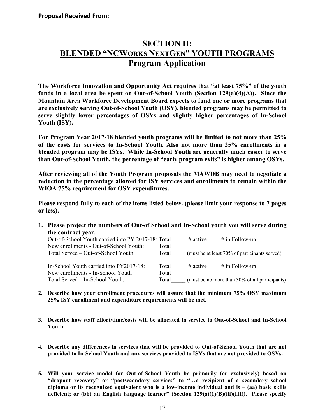# **SECTION II: BLENDED "NCWORKS NEXTGEN" YOUTH PROGRAMS Program Application**

**The Workforce Innovation and Opportunity Act requires that "at least 75%" of the youth funds in a local area be spent on Out-of-School Youth (Section 129(a)(4)(A)). Since the Mountain Area Workforce Development Board expects to fund one or more programs that are exclusively serving Out-of-School Youth (OSY), blended programs may be permitted to serve slightly lower percentages of OSYs and slightly higher percentages of In-School Youth (ISY).** 

**For Program Year 2017-18 blended youth programs will be limited to not more than 25% of the costs for services to In-School Youth. Also not more than 25% enrollments in a blended program may be ISYs. While In-School Youth are generally much easier to serve than Out-of-School Youth, the percentage of "early program exits" is higher among OSYs.** 

**After reviewing all of the Youth Program proposals the MAWDB may need to negotiate a reduction in the percentage allowed for ISY services and enrollments to remain within the WIOA 75% requirement for OSY expenditures.**

**Please respond fully to each of the items listed below. (please limit your response to 7 pages or less).**

**1. Please project the numbers of Out-of School and In-School youth you will serve during the contract year.**

| Out-of-School Youth carried into PY 2017-18: Total | $\#$ in Follow-up<br>$\#$ active               |
|----------------------------------------------------|------------------------------------------------|
| Total                                              |                                                |
| Total                                              | (must be at least 70% of participants served)  |
|                                                    |                                                |
| Total                                              | $\#$ in Follow-up<br>$#$ active                |
| Total                                              |                                                |
| Total                                              | (must be no more than 30% of all participants) |
|                                                    |                                                |

- **2. Describe how your enrollment procedures will assure that the minimum 75% OSY maximum 25% ISY enrollment and expenditure requirements will be met.**
- **3. Describe how staff effort/time/costs will be allocated in service to Out-of-School and In-School Youth.**
- **4. Describe any differences in services that will be provided to Out-of-School Youth that are not provided to In-School Youth and any services provided to ISYs that are not provided to OSYs.**
- **5. Will your service model for Out-of-School Youth be primarily (or exclusively) based on "dropout recovery" or "postsecondary services" to "…a recipient of a secondary school diploma or its recognized equivalent who is a low-income individual and is – (aa) basic skills deficient; or (bb) an English language learner" (Section 129(a)(1)(B)(iii)(III)). Please specify**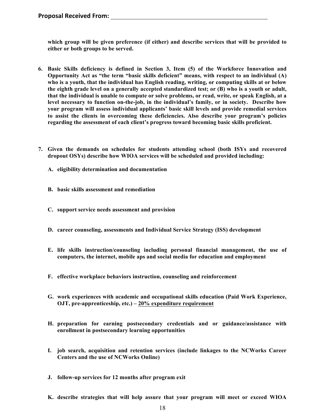**which group will be given preference (if either) and describe services that will be provided to either or both groups to be served.**

- **6. Basic Skills deficiency is defined in Section 3, Item (5) of the Workforce Innovation and Opportunity Act as "the term "basic skills deficient" means, with respect to an individual (A) who is a youth, that the individual has English reading, writing, or computing skills at or below the eighth grade level on a generally accepted standardized test; or (B) who is a youth or adult, that the individual is unable to compute or solve problems, or read, write, or speak English, at a level necessary to function on-the-job, in the individual's family, or in society. Describe how your program will assess individual applicants' basic skill levels and provide remedial services to assist the clients in overcoming these deficiencies. Also describe your program's policies regarding the assessment of each client's progress toward becoming basic skills proficient.**
- **7. Given the demands on schedules for students attending school (both ISYs and recovered dropout OSYs) describe how WIOA services will be scheduled and provided including:** 
	- **A. eligibility determination and documentation**
	- **B. basic skills assessment and remediation**
	- **C. support service needs assessment and provision**
	- **D. career counseling, assessments and Individual Service Strategy (ISS) development**
	- **E. life skills instruction/counseling including personal financial management, the use of computers, the internet, mobile aps and social media for education and employment**
	- **F. effective workplace behaviors instruction, counseling and reinforcement**
	- **G. work experiences with academic and occupational skills education (Paid Work Experience, OJT, pre-apprenticeship, etc.) – 20% expenditure requirement**
	- **H. preparation for earning postsecondary credentials and or guidance/assistance with enrollment in postsecondary learning opportunities**
	- **I. job search, acquisition and retention services (include linkages to the NCWorks Career Centers and the use of NCWorks Online)**
	- **J. follow-up services for 12 months after program exit**
	- **K. describe strategies that will help assure that your program will meet or exceed WIOA**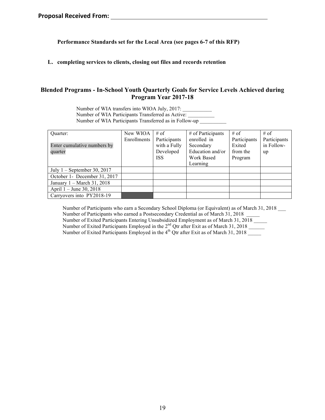**Performance Standards set for the Local Area (see pages 6-7 of this RFP)**

#### **L. completing services to clients, closing out files and records retention**

# **Blended Programs - In-School Youth Quarterly Goals for Service Levels Achieved during Program Year 2017-18**

Number of WIA transfers into WIOA July, 2017: Number of WIA Participants Transferred as Active: Number of WIA Participants Transferred as in Follow-up \_\_\_\_\_\_\_\_\_\_

| Ouarter:                      | New WIOA    | $#$ of       | # of Participants | $#$ of       | # of         |
|-------------------------------|-------------|--------------|-------------------|--------------|--------------|
|                               | Enrollments | Participants | enrolled in       | Participants | Participants |
| Enter cumulative numbers by   |             | with a Fully | Secondary         | Exited       | in Follow-   |
| quarter                       |             | Developed    | Education and/or  | from the     | up           |
|                               |             | <b>ISS</b>   | Work Based        | Program      |              |
|                               |             |              | Learning          |              |              |
| July $1$ – September 30, 2017 |             |              |                   |              |              |
| October 1- December 31, 2017  |             |              |                   |              |              |
| January 1 – March 31, 2018    |             |              |                   |              |              |
| April 1 – June 30, 2018       |             |              |                   |              |              |
| Carryovers into PY2018-19     |             |              |                   |              |              |

Number of Participants who earn a Secondary School Diploma (or Equivalent) as of March 31, 2018 \_\_\_ Number of Participants who earned a Postsecondary Credential as of March 31, 2018 Number of Exited Participants Entering Unsubsidized Employment as of March 31, 2018 \_\_\_\_\_ Number of Exited Participants Employed in the 2<sup>nd</sup> Qtr after Exit as of March 31, 2018 Number of Exited Participants Employed in the  $4<sup>th</sup>$  Qtr after Exit as of March 31, 2018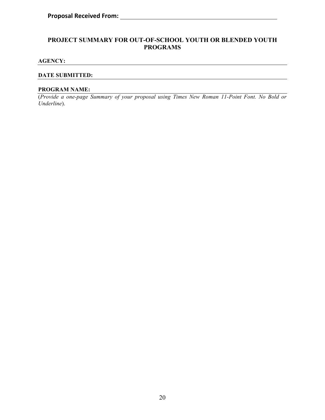# **PROJECT SUMMARY FOR OUT-OF-SCHOOL YOUTH OR BLENDED YOUTH PROGRAMS**

#### **AGENCY:**

#### **DATE SUBMITTED:**

#### **PROGRAM NAME:**

(*Provide a one-page Summary of your proposal using Times New Roman 11-Point Font. No Bold or Underline*).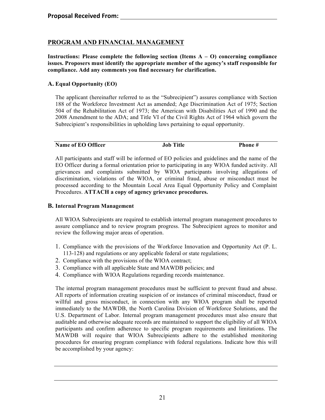# **PROGRAM AND FINANCIAL MANAGEMENT**

**Instructions: Please complete the following section (Items A – O) concerning compliance issues. Proposers must identify the appropriate member of the agency's staff responsible for compliance. Add any comments you find necessary for clarification.**

# **A. Equal Opportunity (EO)**

The applicant (hereinafter referred to as the "Subrecipient") assures compliance with Section 188 of the Workforce Investment Act as amended; Age Discrimination Act of 1975; Section 504 of the Rehabilitation Act of 1973; the American with Disabilities Act of 1990 and the 2008 Amendment to the ADA; and Title VI of the Civil Rights Act of 1964 which govern the Subrecipient's responsibilities in upholding laws pertaining to equal opportunity.

| Name of EO Officer | <b>Job Title</b> | Phone # |
|--------------------|------------------|---------|

All participants and staff will be informed of EO policies and guidelines and the name of the EO Officer during a formal orientation prior to participating in any WIOA funded activity. All grievances and complaints submitted by WIOA participants involving allegations of discrimination, violations of the WIOA, or criminal fraud, abuse or misconduct must be processed according to the Mountain Local Area Equal Opportunity Policy and Complaint Procedures. **ATTACH a copy of agency grievance procedures.**

## **B. Internal Program Management**

All WIOA Subrecipients are required to establish internal program management procedures to assure compliance and to review program progress. The Subrecipient agrees to monitor and review the following major areas of operation.

- 1. Compliance with the provisions of the Workforce Innovation and Opportunity Act (P. L. 113-128) and regulations or any applicable federal or state regulations;
- 2. Compliance with the provisions of the WIOA contract;
- 3. Compliance with all applicable State and MAWDB policies; and
- 4. Compliance with WIOA Regulations regarding records maintenance.

The internal program management procedures must be sufficient to prevent fraud and abuse. All reports of information creating suspicion of or instances of criminal misconduct, fraud or willful and gross misconduct, in connection with any WIOA program shall be reported immediately to the MAWDB, the North Carolina Division of Workforce Solutions, and the U.S. Department of Labor. Internal program management procedures must also ensure that auditable and otherwise adequate records are maintained to support the eligibility of all WIOA participants and confirm adherence to specific program requirements and limitations. The MAWDB will require that WIOA Subrecipients adhere to the established monitoring procedures for ensuring program compliance with federal regulations. Indicate how this will be accomplished by your agency: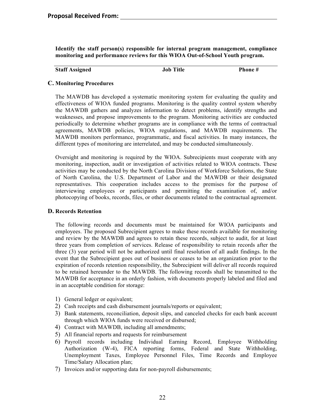**Identify the staff person(s) responsible for internal program management, compliance monitoring and performance reviews for this WIOA Out-of-School Youth program.**

| <b>Staff Assigned</b><br><b>Job Title</b> | Phone # |
|-------------------------------------------|---------|
|-------------------------------------------|---------|

## **C. Monitoring Procedures**

The MAWDB has developed a systematic monitoring system for evaluating the quality and effectiveness of WIOA funded programs. Monitoring is the quality control system whereby the MAWDB gathers and analyzes information to detect problems, identify strengths and weaknesses, and propose improvements to the program. Monitoring activities are conducted periodically to determine whether programs are in compliance with the terms of contractual agreements, MAWDB policies, WIOA regulations, and MAWDB requirements. The MAWDB monitors performance, programmatic, and fiscal activities. In many instances, the different types of monitoring are interrelated, and may be conducted simultaneously.

Oversight and monitoring is required by the WIOA. Subrecipients must cooperate with any monitoring, inspection, audit or investigation of activities related to WIOA contracts. These activities may be conducted by the North Carolina Division of Workforce Solutions, the State of North Carolina, the U.S. Department of Labor and the MAWDB or their designated representatives. This cooperation includes access to the premises for the purpose of interviewing employees or participants and permitting the examination of, and/or photocopying of books, records, files, or other documents related to the contractual agreement.

#### **D. Records Retention**

The following records and documents must be maintained for WIOA participants and employees. The proposed Subrecipient agrees to make these records available for monitoring and review by the MAWDB and agrees to retain these records, subject to audit, for at least three years from completion of services. Release of responsibility to retain records after the three (3) year period will not be authorized until final resolution of all audit findings. In the event that the Subrecipient goes out of business or ceases to be an organization prior to the expiration of records retention responsibility, the Subrecipient will deliver all records required to be retained hereunder to the MAWDB. The following records shall be transmitted to the MAWDB for acceptance in an orderly fashion, with documents properly labeled and filed and in an acceptable condition for storage:

- 1) General ledger or equivalent;
- 2) Cash receipts and cash disbursement journals/reports or equivalent;
- 3) Bank statements, reconciliation, deposit slips, and canceled checks for each bank account through which WIOA funds were received or disbursed;
- 4) Contract with MAWDB, including all amendments;
- 5) All financial reports and requests for reimbursement
- 6) Payroll records including Individual Earning Record, Employee Withholding Authorization (W-4), FICA reporting forms, Federal and State Withholding, Unemployment Taxes, Employee Personnel Files, Time Records and Employee Time/Salary Allocation plan;
- 7) Invoices and/or supporting data for non-payroll disbursements;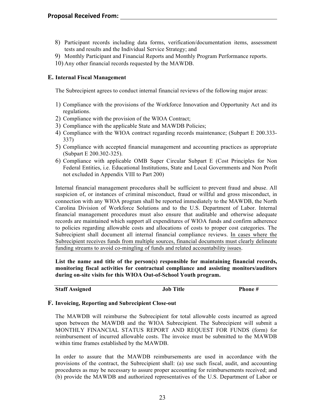- 8) Participant records including data forms, verification/documentation items, assessment tests and results and the Individual Service Strategy; and
- 9) Monthly Participant and Financial Reports and Monthly Program Performance reports.
- 10) Any other financial records requested by the MAWDB.

## **E. Internal Fiscal Management**

The Subrecipient agrees to conduct internal financial reviews of the following major areas:

- 1) Compliance with the provisions of the Workforce Innovation and Opportunity Act and its regulations.
- 2) Compliance with the provision of the WIOA Contract;
- 3) Compliance with the applicable State and MAWDB Policies;
- 4) Compliance with the WIOA contract regarding records maintenance; (Subpart E 200.333- 337)
- 5) Compliance with accepted financial management and accounting practices as appropriate (Subpart E 200.302-325).
- 6) Compliance with applicable OMB Super Circular Subpart E (Cost Principles for Non Federal Entities, i.e. Educational Institutions, State and Local Governments and Non Profit not excluded in Appendix VIII to Part 200)

Internal financial management procedures shall be sufficient to prevent fraud and abuse. All suspicion of, or instances of criminal misconduct, fraud or willful and gross misconduct, in connection with any WIOA program shall be reported immediately to the MAWDB, the North Carolina Division of Workforce Solutions and to the U.S. Department of Labor. Internal financial management procedures must also ensure that auditable and otherwise adequate records are maintained which support all expenditures of WIOA funds and confirm adherence to policies regarding allowable costs and allocations of costs to proper cost categories. The Subrecipient shall document all internal financial compliance reviews. In cases where the Subrecipient receives funds from multiple sources, financial documents must clearly delineate funding streams to avoid co-mingling of funds and related accountability issues.

**List the name and title of the person(s) responsible for maintaining financial records, monitoring fiscal activities for contractual compliance and assisting monitors/auditors during on-site visits for this WIOA Out-of-School Youth program.**

**Staff Assigned Job Title Phone #**

#### **F. Invoicing, Reporting and Subrecipient Close-out**

The MAWDB will reimburse the Subrecipient for total allowable costs incurred as agreed upon between the MAWDB and the WIOA Subrecipient. The Subrecipient will submit a MONTHLY FINANCIAL STATUS REPORT AND REQUEST FOR FUNDS (form) for reimbursement of incurred allowable costs. The invoice must be submitted to the MAWDB within time frames established by the MAWDB.

In order to assure that the MAWDB reimbursements are used in accordance with the provisions of the contract, the Subrecipient shall: (a) use such fiscal, audit, and accounting procedures as may be necessary to assure proper accounting for reimbursements received; and (b) provide the MAWDB and authorized representatives of the U.S. Department of Labor or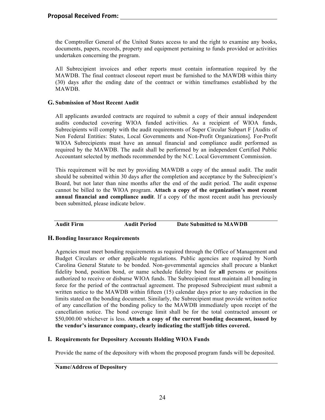the Comptroller General of the United States access to and the right to examine any books, documents, papers, records, property and equipment pertaining to funds provided or activities undertaken concerning the program.

All Subrecipient invoices and other reports must contain information required by the MAWDB. The final contract closeout report must be furnished to the MAWDB within thirty (30) days after the ending date of the contract or within timeframes established by the MAWDB.

### **G. Submission of Most Recent Audit**

All applicants awarded contracts are required to submit a copy of their annual independent audits conducted covering WIOA funded activities. As a recipient of WIOA funds, Subrecipients will comply with the audit requirements of Super Circular Subpart F [Audits of Non Federal Entities: States, Local Governments and Non-Profit Organizations]. For-Profit WIOA Subrecipients must have an annual financial and compliance audit performed as required by the MAWDB. The audit shall be performed by an independent Certified Public Accountant selected by methods recommended by the N.C. Local Government Commission.

This requirement will be met by providing MAWDB a copy of the annual audit. The audit should be submitted within 30 days after the completion and acceptance by the Subrecipient's Board, but not later than nine months after the end of the audit period. The audit expense cannot be billed to the WIOA program. **Attach a copy of the organization's most recent annual financial and compliance audit**. If a copy of the most recent audit has previously been submitted, please indicate below.

**Audit Firm Audit Period Date Submitted to MAWDB**

#### **H. Bonding Insurance Requirements**

Agencies must meet bonding requirements as required through the Office of Management and Budget Circulars or other applicable regulations. Public agencies are required by North Carolina General Statute to be bonded. Non-governmental agencies shall procure a blanket fidelity bond, position bond, or name schedule fidelity bond for **all** persons or positions authorized to receive or disburse WIOA funds. The Subrecipient must maintain all bonding in force for the period of the contractual agreement. The proposed Subrecipient must submit a written notice to the MAWDB within fifteen (15) calendar days prior to any reduction in the limits stated on the bonding document. Similarly, the Subrecipient must provide written notice of any cancellation of the bonding policy to the MAWDB immediately upon receipt of the cancellation notice. The bond coverage limit shall be for the total contracted amount or \$50,000.00 whichever is less. **Attach a copy of the current bonding document, issued by the vendor's insurance company, clearly indicating the staff/job titles covered.**

#### **I. Requirements for Depository Accounts Holding WIOA Funds**

Provide the name of the depository with whom the proposed program funds will be deposited.

**Name/Address of Depository**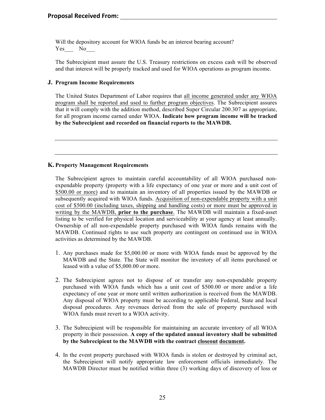Will the depository account for WIOA funds be an interest bearing account? Yes No

The Subrecipient must assure the U.S. Treasury restrictions on excess cash will be observed and that interest will be properly tracked and used for WIOA operations as program income.

## **J. Program Income Requirements**

The United States Department of Labor requires that all income generated under any WIOA program shall be reported and used to further program objectives. The Subrecipient assures that it will comply with the addition method, described Super Circular 200.307 as appropriate, for all program income earned under WIOA. **Indicate how program income will be tracked by the Subrecipient and recorded on financial reports to the MAWDB.**

# **K. Property Management Requirements**

The Subrecipient agrees to maintain careful accountability of all WIOA purchased nonexpendable property (property with a life expectancy of one year or more and a unit cost of \$500.00 or more) and to maintain an inventory of all properties issued by the MAWDB or subsequently acquired with WIOA funds. Acquisition of non-expendable property with a unit cost of \$500.00 (including taxes, shipping and handling costs) or more must be approved in writing by the MAWDB, **prior to the purchase**. The MAWDB will maintain a fixed-asset listing to be verified for physical location and serviceability at your agency at least annually. Ownership of all non-expendable property purchased with WIOA funds remains with the MAWDB. Continued rights to use such property are contingent on continued use in WIOA activities as determined by the MAWDB.

- 1. Any purchases made for \$5,000.00 or more with WIOA funds must be approved by the MAWDB and the State. The State will monitor the inventory of all items purchased or leased with a value of \$5,000.00 or more.
- 2. The Subrecipient agrees not to dispose of or transfer any non-expendable property purchased with WIOA funds which has a unit cost of \$500.00 or more and/or a life expectancy of one year or more until written authorization is received from the MAWDB. Any disposal of WIOA property must be according to applicable Federal, State and local disposal procedures. Any revenues derived from the sale of property purchased with WIOA funds must revert to a WIOA activity.
- 3. The Subrecipient will be responsible for maintaining an accurate inventory of all WIOA property in their possession. **A copy of the updated annual inventory shall be submitted by the Subrecipient to the MAWDB with the contract closeout document.**
- 4. In the event property purchased with WIOA funds is stolen or destroyed by criminal act, the Subrecipient will notify appropriate law enforcement officials immediately. The MAWDB Director must be notified within three (3) working days of discovery of loss or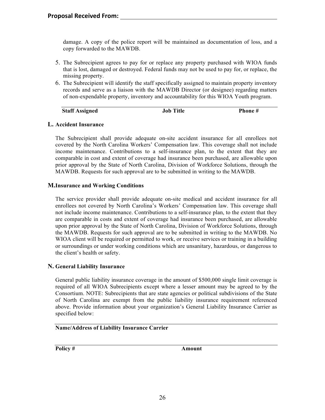damage. A copy of the police report will be maintained as documentation of loss, and a copy forwarded to the MAWDB.

- 5. The Subrecipient agrees to pay for or replace any property purchased with WIOA funds that is lost, damaged or destroyed. Federal funds may not be used to pay for, or replace, the missing property.
- 6. The Subrecipient will identify the staff specifically assigned to maintain property inventory records and serve as a liaison with the MAWDB Director (or designee) regarding matters of non-expendable property, inventory and accountability for this WIOA Youth program.

| <b>Staff Assigned</b> | <b>Job Title</b> | Phone # |
|-----------------------|------------------|---------|
|-----------------------|------------------|---------|

## **L. Accident Insurance**

The Subrecipient shall provide adequate on-site accident insurance for all enrollees not covered by the North Carolina Workers' Compensation law. This coverage shall not include income maintenance. Contributions to a self-insurance plan, to the extent that they are comparable in cost and extent of coverage had insurance been purchased, are allowable upon prior approval by the State of North Carolina, Division of Workforce Solutions, through the MAWDB. Requests for such approval are to be submitted in writing to the MAWDB.

## **M.Insurance and Working Conditions**

The service provider shall provide adequate on-site medical and accident insurance for all enrollees not covered by North Carolina's Workers' Compensation law. This coverage shall not include income maintenance. Contributions to a self-insurance plan, to the extent that they are comparable in costs and extent of coverage had insurance been purchased, are allowable upon prior approval by the State of North Carolina, Division of Workforce Solutions, through the MAWDB. Requests for such approval are to be submitted in writing to the MAWDB. No WIOA client will be required or permitted to work, or receive services or training in a building or surroundings or under working conditions which are unsanitary, hazardous, or dangerous to the client's health or safety.

# **N. General Liability Insurance**

General public liability insurance coverage in the amount of \$500,000 single limit coverage is required of all WIOA Subrecipients except where a lesser amount may be agreed to by the Consortium. NOTE: Subrecipients that are state agencies or political subdivisions of the State of North Carolina are exempt from the public liability insurance requirement referenced above. Provide information about your organization's General Liability Insurance Carrier as specified below:

### **Name/Address of Liability Insurance Carrier**

**Policy # Amount**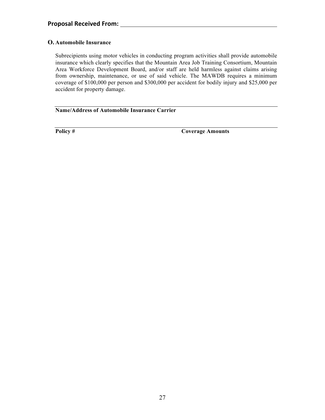# **O. Automobile Insurance**

Subrecipients using motor vehicles in conducting program activities shall provide automobile insurance which clearly specifies that the Mountain Area Job Training Consortium, Mountain Area Workforce Development Board, and/or staff are held harmless against claims arising from ownership, maintenance, or use of said vehicle. The MAWDB requires a minimum coverage of \$100,000 per person and \$300,000 per accident for bodily injury and \$25,000 per accident for property damage.

## **Name/Address of Automobile Insurance Carrier**

**Policy # Coverage Amounts**

 $\mathbb{R}^2$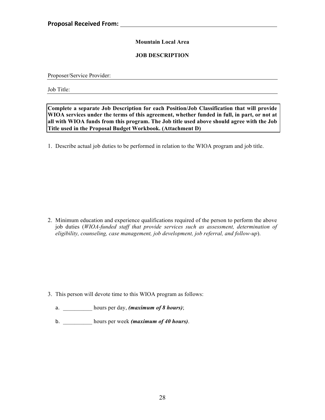# **Mountain Local Area**

## **JOB DESCRIPTION**

Proposer/Service Provider:

Job Title:

**Complete a separate Job Description for each Position/Job Classification that will provide WIOA services under the terms of this agreement, whether funded in full, in part, or not at all with WIOA funds from this program. The Job title used above should agree with the Job Title used in the Proposal Budget Workbook. (Attachment D)**

1. Describe actual job duties to be performed in relation to the WIOA program and job title.

2. Minimum education and experience qualifications required of the person to perform the above job duties (*WIOA-funded staff that provide services such as assessment, determination of eligibility, counseling, case management, job development, job referral, and follow-up*).

- 3. This person will devote time to this WIOA program as follows:
	- a. \_\_\_\_\_\_\_\_\_\_ hours per day, *(maximum of 8 hours)*;
	- b. \_\_\_\_\_\_\_\_\_\_ hours per week *(maximum of 40 hours)*.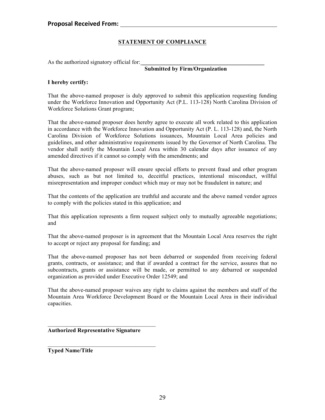# **STATEMENT OF COMPLIANCE**

As the authorized signatory official for:

# **Submitted by Firm/Organization**

#### **I hereby certify:**

That the above-named proposer is duly approved to submit this application requesting funding under the Workforce Innovation and Opportunity Act (P.L. 113-128) North Carolina Division of Workforce Solutions Grant program;

That the above-named proposer does hereby agree to execute all work related to this application in accordance with the Workforce Innovation and Opportunity Act (P. L. 113-128) and, the North Carolina Division of Workforce Solutions issuances, Mountain Local Area policies and guidelines, and other administrative requirements issued by the Governor of North Carolina. The vendor shall notify the Mountain Local Area within 30 calendar days after issuance of any amended directives if it cannot so comply with the amendments; and

That the above-named proposer will ensure special efforts to prevent fraud and other program abuses, such as but not limited to, deceitful practices, intentional misconduct, willful misrepresentation and improper conduct which may or may not be fraudulent in nature; and

That the contents of the application are truthful and accurate and the above named vendor agrees to comply with the policies stated in this application; and

That this application represents a firm request subject only to mutually agreeable negotiations; and

That the above-named proposer is in agreement that the Mountain Local Area reserves the right to accept or reject any proposal for funding; and

That the above-named proposer has not been debarred or suspended from receiving federal grants, contracts, or assistance; and that if awarded a contract for the service, assures that no subcontracts, grants or assistance will be made, or permitted to any debarred or suspended organization as provided under Executive Order 12549; and

That the above-named proposer waives any right to claims against the members and staff of the Mountain Area Workforce Development Board or the Mountain Local Area in their individual capacities.

#### **Authorized Representative Signature**

 $\mathcal{L}_\text{max} = \mathcal{L}_\text{max} = \mathcal{L}_\text{max} = \mathcal{L}_\text{max} = \mathcal{L}_\text{max}$ 

**Typed Name/Title**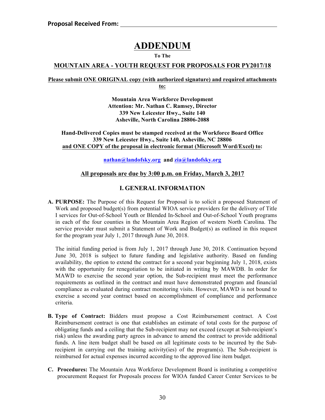# **ADDENDUM**

### **To The**

# **MOUNTAIN AREA - YOUTH REQUEST FOR PROPOSALS FOR PY2017/18**

#### **Please submit ONE ORIGINAL copy (with authorized signature) and required attachments to:**

**Mountain Area Workforce Development Attention: Mr. Nathan C. Ramsey, Director 339 New Leicester Hwy., Suite 140 Asheville, North Carolina 28806-2088**

**Hand-Delivered Copies must be stamped received at the Workforce Board Office 339 New Leicester Hwy., Suite 140, Asheville, NC 28806 and ONE COPY of the proposal in electronic format (Microsoft Word/Excel) to:**

**nathan@landofsky.org and zia@landofsky.org** 

# **All proposals are due by 3:00 p.m. on Friday, March 3, 2017**

# **I. GENERAL INFORMATION**

**A. PURPOSE:** The Purpose of this Request for Proposal is to solicit a proposed Statement of Work and proposed budget(s) from potential WIOA service providers for the delivery of Title I services for Out-of-School Youth or Blended In-School and Out-of-School Youth programs in each of the four counties in the Mountain Area Region of western North Carolina. The service provider must submit a Statement of Work and Budget(s) as outlined in this request for the program year July 1, 2017 through June 30, 2018.

The initial funding period is from July 1, 2017 through June 30, 2018. Continuation beyond June 30, 2018 is subject to future funding and legislative authority. Based on funding availability, the option to extend the contract for a second year beginning July 1, 2018, exists with the opportunity for renegotiation to be initiated in writing by MAWDB. In order for MAWD to exercise the second year option, the Sub-recipient must meet the performance requirements as outlined in the contract and must have demonstrated program and financial compliance as evaluated during contract monitoring visits. However, MAWD is not bound to exercise a second year contract based on accomplishment of compliance and performance criteria.

- **B. Type of Contract:** Bidders must propose a Cost Reimbursement contract. A Cost Reimbursement contract is one that establishes an estimate of total costs for the purpose of obligating funds and a ceiling that the Sub-recipient may not exceed (except at Sub-recipient's risk) unless the awarding party agrees in advance to amend the contract to provide additional funds. A line item budget shall be based on all legitimate costs to be incurred by the Subrecipient in carrying out the training activity(ies) of the program(s). The Sub-recipient is reimbursed for actual expenses incurred according to the approved line item budget.
- **C. Procedures:** The Mountain Area Workforce Development Board is instituting a competitive procurement Request for Proposals process for WIOA funded Career Center Services to be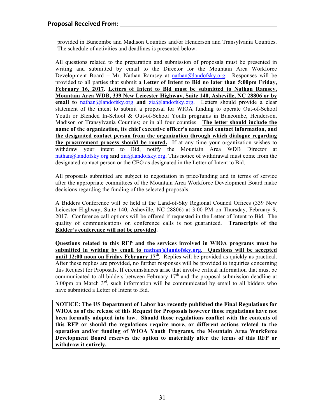provided in Buncombe and Madison Counties and/or Henderson and Transylvania Counties. The schedule of activities and deadlines is presented below.

All questions related to the preparation and submission of proposals must be presented in writing and submitted by email to the Director for the Mountain Area Workforce Development Board – Mr. Nathan Ramsey at nathan@landofsky.org. Responses will be provided to all parties that submit a **Letter of Intent to Bid no later than 5:00pm Friday, February 16, 2017. Letters of Intent to Bid must be submitted to Nathan Ramsey, Mountain Area WDB, 339 New Leicester Highway, Suite 140, Asheville, NC 28806 or by email to** nathan@landofsky.org **and** zia@landofsky.org. Letters should provide a clear statement of the intent to submit a proposal for WIOA funding to operate Out-of-School Youth or Blended In-School & Out-of-School Youth programs in Buncombe, Henderson, Madison or Transylvania Counties; or in all four counties. **The letter should include the name of the organization, its chief executive officer's name and contact information, and the designated contact person from the organization through which dialogue regarding the procurement process should be routed.** If at any time your organization wishes to withdraw your intent to Bid, notify the Mountain Area WDB Director at nathan@landofsky.org **and** zia@landofsky.org. This notice of withdrawal must come from the designated contact person or the CEO as designated in the Letter of Intent to Bid.

All proposals submitted are subject to negotiation in price/funding and in terms of service after the appropriate committees of the Mountain Area Workforce Development Board make decisions regarding the funding of the selected proposals.

A Bidders Conference will be held at the Land-of-Sky Regional Council Offices (339 New Leicester Highway, Suite 140, Asheville, NC 28806) at 3:00 PM on Thursday, February 9, 2017. Conference call options will be offered if requested in the Letter of Intent to Bid. The quality of communications on conference calls is not guaranteed. **Transcripts of the Bidder's conference will not be provided**.

**Questions related to this RFP and the services involved in WIOA programs must be submitted in writing by email to nathan@landofsky.org. Questions will be accepted until 12:00 noon on Friday February 17th**. Replies will be provided as quickly as practical. After these replies are provided, no further responses will be provided to inquiries concerning this Request for Proposals. If circumstances arise that involve critical information that must be communicated to all bidders between February  $17<sup>th</sup>$  and the proposal submission deadline at 3:00pm on March 3rd, such information will be communicated by email to all bidders who have submitted a Letter of Intent to Bid.

**NOTICE: The US Department of Labor has recently published the Final Regulations for WIOA as of the release of this Request for Proposals however those regulations have not been formally adopted into law. Should those regulations conflict with the contents of this RFP or should the regulations require more, or different actions related to the operation and/or funding of WIOA Youth Programs, the Mountain Area Workforce Development Board reserves the option to materially alter the terms of this RFP or withdraw it entirely.**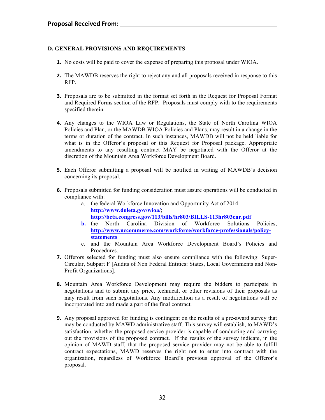## **D. GENERAL PROVISIONS AND REQUIREMENTS**

- **1.** No costs will be paid to cover the expense of preparing this proposal under WIOA.
- **2.** The MAWDB reserves the right to reject any and all proposals received in response to this RFP.
- **3.** Proposals are to be submitted in the format set forth in the Request for Proposal Format and Required Forms section of the RFP. Proposals must comply with to the requirements specified therein.
- **4.** Any changes to the WIOA Law or Regulations, the State of North Carolina WIOA Policies and Plan, or the MAWDB WIOA Policies and Plans, may result in a change in the terms or duration of the contract. In such instances, MAWDB will not be held liable for what is in the Offeror's proposal or this Request for Proposal package. Appropriate amendments to any resulting contract MAY be negotiated with the Offeror at the discretion of the Mountain Area Workforce Development Board.
- **5.** Each Offeror submitting a proposal will be notified in writing of MAWDB's decision concerning its proposal.
- **6.** Proposals submitted for funding consideration must assure operations will be conducted in compliance with:
	- a. the federal Workforce Innovation and Opportunity Act of 2014 **http://www.doleta.gov/wioa/**; **http://beta.congress.gov/113/bills/hr803/BILLS-113hr803enr.pdf**
	- **b.** the North Carolina Division of Workforce Solutions Policies, **http://www.nccommerce.com/workforce/workforce-professionals/policystatements**
	- c. and the Mountain Area Workforce Development Board's Policies and Procedures.
- **7.** Offerors selected for funding must also ensure compliance with the following: Super-Circular, Subpart F [Audits of Non Federal Entities: States, Local Governments and Non-Profit Organizations].
- **8.** Mountain Area Workforce Development may require the bidders to participate in negotiations and to submit any price, technical, or other revisions of their proposals as may result from such negotiations. Any modification as a result of negotiations will be incorporated into and made a part of the final contract.
- **9.** Any proposal approved for funding is contingent on the results of a pre-award survey that may be conducted by MAWD administrative staff. This survey will establish, to MAWD's satisfaction, whether the proposed service provider is capable of conducting and carrying out the provisions of the proposed contract. If the results of the survey indicate, in the opinion of MAWD staff, that the proposed service provider may not be able to fulfill contract expectations, MAWD reserves the right not to enter into contract with the organization, regardless of Workforce Board's previous approval of the Offeror's proposal.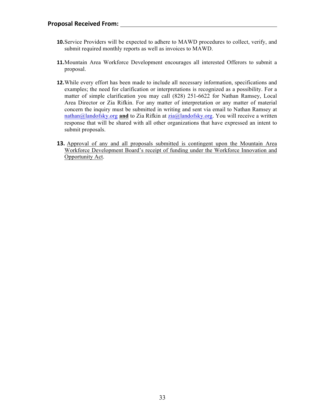- **10.**Service Providers will be expected to adhere to MAWD procedures to collect, verify, and submit required monthly reports as well as invoices to MAWD.
- **11.**Mountain Area Workforce Development encourages all interested Offerors to submit a proposal.
- **12.**While every effort has been made to include all necessary information, specifications and examples; the need for clarification or interpretations is recognized as a possibility. For a matter of simple clarification you may call (828) 251-6622 for Nathan Ramsey, Local Area Director or Zia Rifkin. For any matter of interpretation or any matter of material concern the inquiry must be submitted in writing and sent via email to Nathan Ramsey at nathan@landofsky.org **and** to Zia Rifkin at zia@landofsky.org. You will receive a written response that will be shared with all other organizations that have expressed an intent to submit proposals.
- **13.** Approval of any and all proposals submitted is contingent upon the Mountain Area Workforce Development Board's receipt of funding under the Workforce Innovation and Opportunity Act.